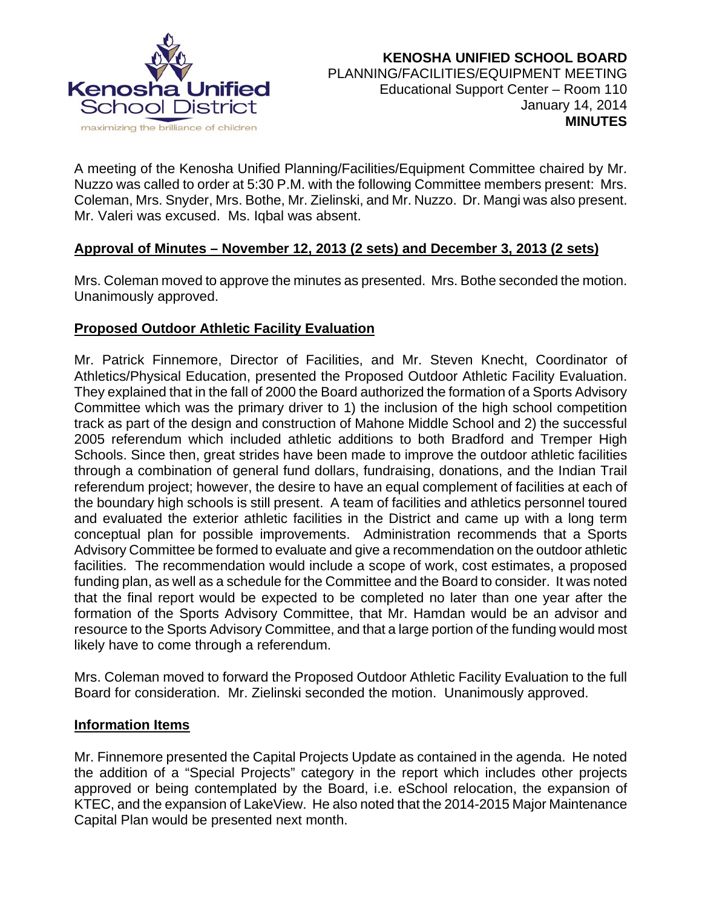

A meeting of the Kenosha Unified Planning/Facilities/Equipment Committee chaired by Mr. Nuzzo was called to order at 5:30 P.M. with the following Committee members present: Mrs. Coleman, Mrs. Snyder, Mrs. Bothe, Mr. Zielinski, and Mr. Nuzzo. Dr. Mangi was also present. Mr. Valeri was excused. Ms. Iqbal was absent.

# **Approval of Minutes – November 12, 2013 (2 sets) and December 3, 2013 (2 sets)**

Mrs. Coleman moved to approve the minutes as presented. Mrs. Bothe seconded the motion. Unanimously approved.

# **Proposed Outdoor Athletic Facility Evaluation**

Mr. Patrick Finnemore, Director of Facilities, and Mr. Steven Knecht, Coordinator of Athletics/Physical Education, presented the Proposed Outdoor Athletic Facility Evaluation. They explained that in the fall of 2000 the Board authorized the formation of a Sports Advisory Committee which was the primary driver to 1) the inclusion of the high school competition track as part of the design and construction of Mahone Middle School and 2) the successful 2005 referendum which included athletic additions to both Bradford and Tremper High Schools. Since then, great strides have been made to improve the outdoor athletic facilities through a combination of general fund dollars, fundraising, donations, and the Indian Trail referendum project; however, the desire to have an equal complement of facilities at each of the boundary high schools is still present. A team of facilities and athletics personnel toured and evaluated the exterior athletic facilities in the District and came up with a long term conceptual plan for possible improvements. Administration recommends that a Sports Advisory Committee be formed to evaluate and give a recommendation on the outdoor athletic facilities. The recommendation would include a scope of work, cost estimates, a proposed funding plan, as well as a schedule for the Committee and the Board to consider. It was noted that the final report would be expected to be completed no later than one year after the formation of the Sports Advisory Committee, that Mr. Hamdan would be an advisor and resource to the Sports Advisory Committee, and that a large portion of the funding would most likely have to come through a referendum.

Mrs. Coleman moved to forward the Proposed Outdoor Athletic Facility Evaluation to the full Board for consideration. Mr. Zielinski seconded the motion. Unanimously approved.

#### **Information Items**

Mr. Finnemore presented the Capital Projects Update as contained in the agenda. He noted the addition of a "Special Projects" category in the report which includes other projects approved or being contemplated by the Board, i.e. eSchool relocation, the expansion of KTEC, and the expansion of LakeView. He also noted that the 2014-2015 Major Maintenance Capital Plan would be presented next month.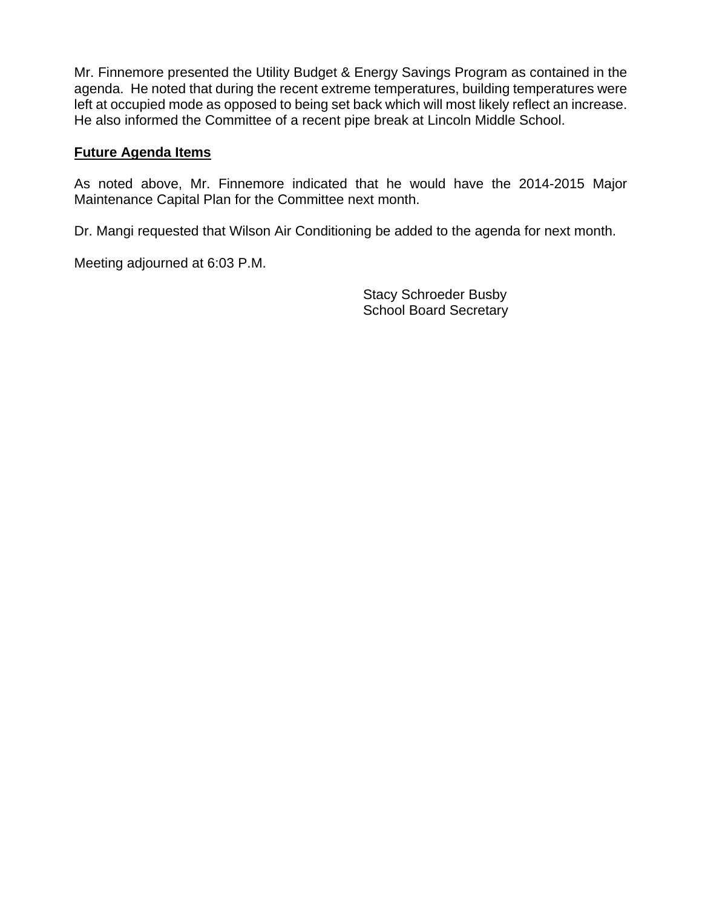Mr. Finnemore presented the Utility Budget & Energy Savings Program as contained in the agenda. He noted that during the recent extreme temperatures, building temperatures were left at occupied mode as opposed to being set back which will most likely reflect an increase. He also informed the Committee of a recent pipe break at Lincoln Middle School.

### **Future Agenda Items**

As noted above, Mr. Finnemore indicated that he would have the 2014-2015 Major Maintenance Capital Plan for the Committee next month.

Dr. Mangi requested that Wilson Air Conditioning be added to the agenda for next month.

Meeting adjourned at 6:03 P.M.

 Stacy Schroeder Busby School Board Secretary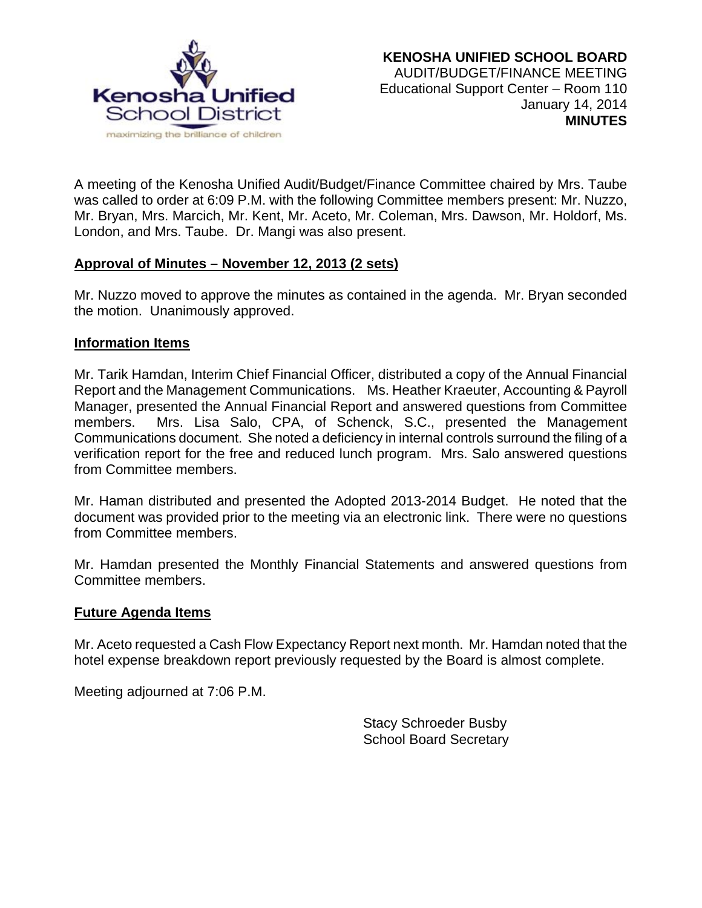

A meeting of the Kenosha Unified Audit/Budget/Finance Committee chaired by Mrs. Taube was called to order at 6:09 P.M. with the following Committee members present: Mr. Nuzzo, Mr. Bryan, Mrs. Marcich, Mr. Kent, Mr. Aceto, Mr. Coleman, Mrs. Dawson, Mr. Holdorf, Ms. London, and Mrs. Taube. Dr. Mangi was also present.

# **Approval of Minutes – November 12, 2013 (2 sets)**

Mr. Nuzzo moved to approve the minutes as contained in the agenda. Mr. Bryan seconded the motion. Unanimously approved.

#### **Information Items**

Mr. Tarik Hamdan, Interim Chief Financial Officer, distributed a copy of the Annual Financial Report and the Management Communications. Ms. Heather Kraeuter, Accounting & Payroll Manager, presented the Annual Financial Report and answered questions from Committee members. Mrs. Lisa Salo, CPA, of Schenck, S.C., presented the Management Communications document. She noted a deficiency in internal controls surround the filing of a verification report for the free and reduced lunch program. Mrs. Salo answered questions from Committee members.

Mr. Haman distributed and presented the Adopted 2013-2014 Budget. He noted that the document was provided prior to the meeting via an electronic link. There were no questions from Committee members.

Mr. Hamdan presented the Monthly Financial Statements and answered questions from Committee members.

#### **Future Agenda Items**

Mr. Aceto requested a Cash Flow Expectancy Report next month. Mr. Hamdan noted that the hotel expense breakdown report previously requested by the Board is almost complete.

Meeting adjourned at 7:06 P.M.

Stacy Schroeder Busby School Board Secretary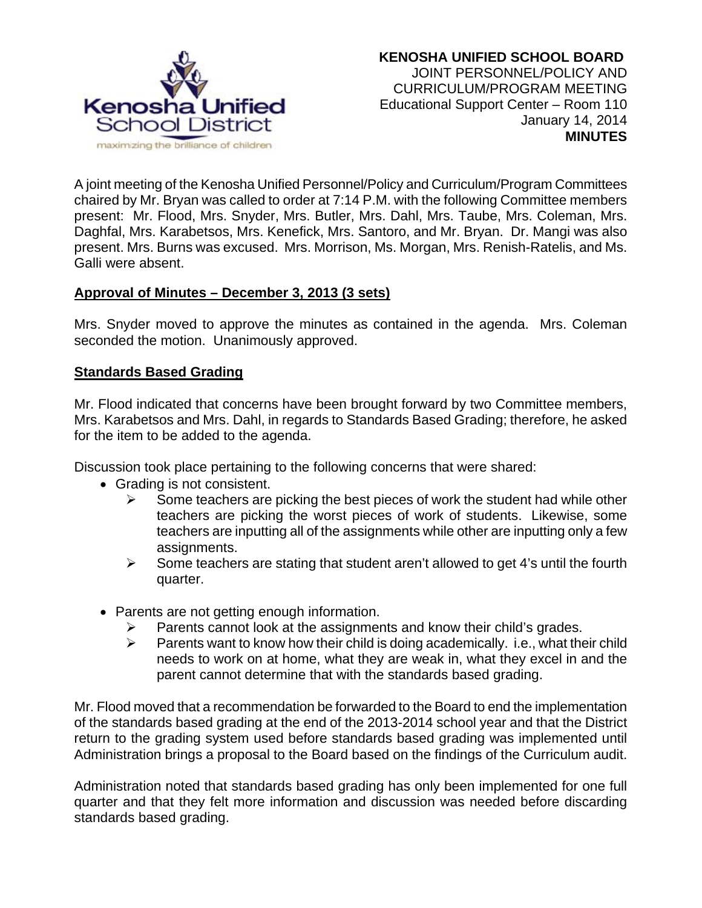

A joint meeting of the Kenosha Unified Personnel/Policy and Curriculum/Program Committees chaired by Mr. Bryan was called to order at 7:14 P.M. with the following Committee members present: Mr. Flood, Mrs. Snyder, Mrs. Butler, Mrs. Dahl, Mrs. Taube, Mrs. Coleman, Mrs. Daghfal, Mrs. Karabetsos, Mrs. Kenefick, Mrs. Santoro, and Mr. Bryan. Dr. Mangi was also present. Mrs. Burns was excused. Mrs. Morrison, Ms. Morgan, Mrs. Renish-Ratelis, and Ms. Galli were absent.

# **Approval of Minutes – December 3, 2013 (3 sets)**

Mrs. Snyder moved to approve the minutes as contained in the agenda. Mrs. Coleman seconded the motion. Unanimously approved.

## **Standards Based Grading**

Mr. Flood indicated that concerns have been brought forward by two Committee members, Mrs. Karabetsos and Mrs. Dahl, in regards to Standards Based Grading; therefore, he asked for the item to be added to the agenda.

Discussion took place pertaining to the following concerns that were shared:

- Grading is not consistent.
	- $\triangleright$  Some teachers are picking the best pieces of work the student had while other teachers are picking the worst pieces of work of students. Likewise, some teachers are inputting all of the assignments while other are inputting only a few assignments.
	- $\triangleright$  Some teachers are stating that student aren't allowed to get 4's until the fourth quarter.
- Parents are not getting enough information.
	- $\triangleright$  Parents cannot look at the assignments and know their child's grades.
	- $\triangleright$  Parents want to know how their child is doing academically. i.e., what their child needs to work on at home, what they are weak in, what they excel in and the parent cannot determine that with the standards based grading.

Mr. Flood moved that a recommendation be forwarded to the Board to end the implementation of the standards based grading at the end of the 2013-2014 school year and that the District return to the grading system used before standards based grading was implemented until Administration brings a proposal to the Board based on the findings of the Curriculum audit.

Administration noted that standards based grading has only been implemented for one full quarter and that they felt more information and discussion was needed before discarding standards based grading.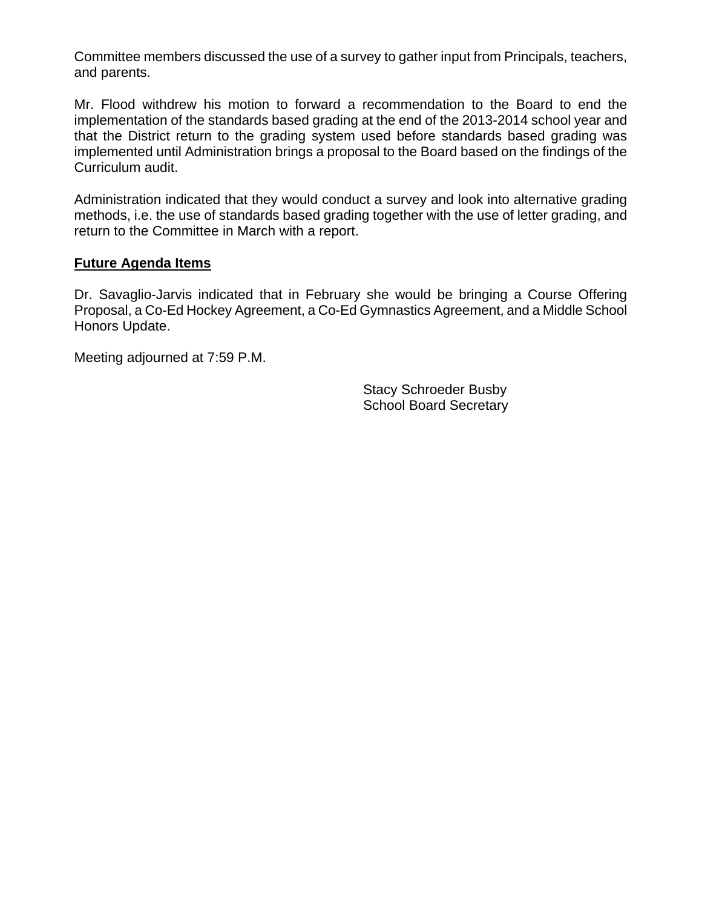Committee members discussed the use of a survey to gather input from Principals, teachers, and parents.

Mr. Flood withdrew his motion to forward a recommendation to the Board to end the implementation of the standards based grading at the end of the 2013-2014 school year and that the District return to the grading system used before standards based grading was implemented until Administration brings a proposal to the Board based on the findings of the Curriculum audit.

Administration indicated that they would conduct a survey and look into alternative grading methods, i.e. the use of standards based grading together with the use of letter grading, and return to the Committee in March with a report.

## **Future Agenda Items**

Dr. Savaglio-Jarvis indicated that in February she would be bringing a Course Offering Proposal, a Co-Ed Hockey Agreement, a Co-Ed Gymnastics Agreement, and a Middle School Honors Update.

Meeting adjourned at 7:59 P.M.

Stacy Schroeder Busby School Board Secretary